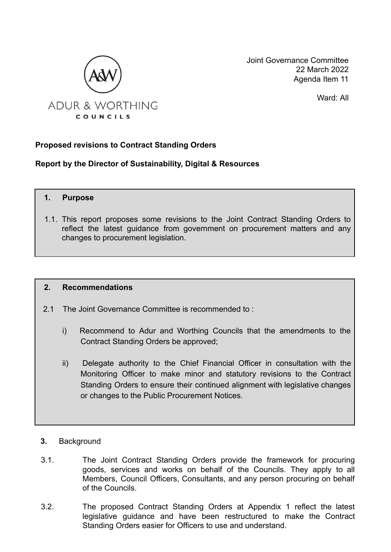

Joint Governance Committee 22 March 2022 Agenda Item 11

Ward: All

#### **Proposed revisions to Contract Standing Orders**

**Report by the Director of Sustainability, Digital & Resources**

```
1. Purpose
```
1.1. This report proposes some revisions to the Joint Contract Standing Orders to reflect the latest guidance from government on procurement matters and any changes to procurement legislation.

#### **2. Recommendations**

- 2.1 The Joint Governance Committee is recommended to :
	- i) Recommend to Adur and Worthing Councils that the amendments to the Contract Standing Orders be approved;
	- ii) Delegate authority to the Chief Financial Officer in consultation with the Monitoring Officer to make minor and statutory revisions to the Contract Standing Orders to ensure their continued alignment with legislative changes or changes to the Public Procurement Notices.
- **3.** Background
- 3.1. The Joint Contract Standing Orders provide the framework for procuring goods, services and works on behalf of the Councils. They apply to all Members, Council Officers, Consultants, and any person procuring on behalf of the Councils.
- 3.2. The proposed Contract Standing Orders at Appendix 1 reflect the latest legislative guidance and have been restructured to make the Contract Standing Orders easier for Officers to use and understand.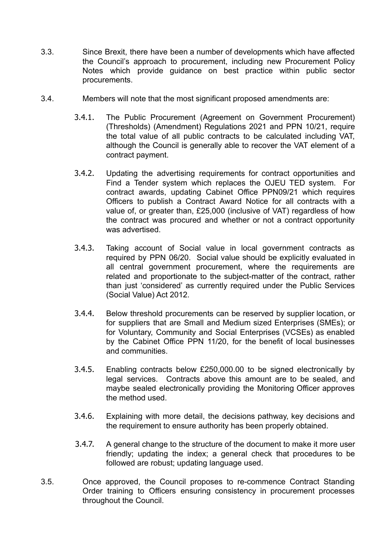- 3.3. Since Brexit, there have been a number of developments which have affected the Council's approach to procurement, including new Procurement Policy Notes which provide guidance on best practice within public sector procurements.
- 3.4. Members will note that the most significant proposed amendments are:
	- 3.4.1. The Public Procurement (Agreement on Government Procurement) (Thresholds) (Amendment) Regulations 2021 and PPN 10/21, require the total value of all public contracts to be calculated including VAT, although the Council is generally able to recover the VAT element of a contract payment.
	- 3.4.2. Updating the advertising requirements for contract opportunities and Find a Tender system which replaces the OJEU TED system. For contract awards, updating Cabinet Office PPN09/21 which requires Officers to publish a Contract Award Notice for all contracts with a value of, or greater than, £25,000 (inclusive of VAT) regardless of how the contract was procured and whether or not a contract opportunity was advertised.
	- 3.4.3. Taking account of Social value in local government contracts as required by PPN 06/20. Social value should be explicitly evaluated in all central government procurement, where the requirements are related and proportionate to the subject-matter of the contract, rather than just 'considered' as currently required under the Public Services (Social Value) Act 2012.
	- 3.4.4. Below threshold procurements can be reserved by supplier location, or for suppliers that are Small and Medium sized Enterprises (SMEs); or for Voluntary, Community and Social Enterprises (VCSEs) as enabled by the Cabinet Office PPN 11/20, for the benefit of local businesses and communities.
	- 3.4.5. Enabling contracts below £250,000.00 to be signed electronically by legal services. Contracts above this amount are to be sealed, and maybe sealed electronically providing the Monitoring Officer approves the method used.
	- 3.4.6. Explaining with more detail, the decisions pathway, key decisions and the requirement to ensure authority has been properly obtained.
	- 3.4.7. A general change to the structure of the document to make it more user friendly; updating the index; a general check that procedures to be followed are robust; updating language used.
- 3.5. Once approved, the Council proposes to re-commence Contract Standing Order training to Officers ensuring consistency in procurement processes throughout the Council.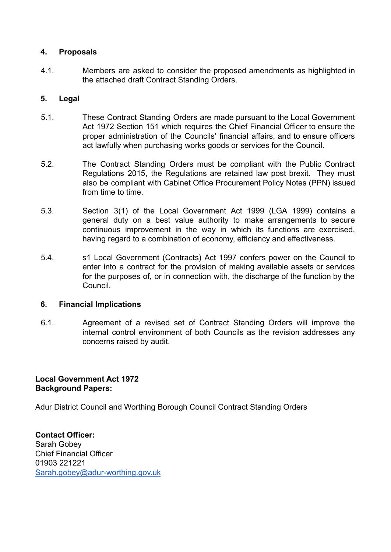#### **4. Proposals**

4.1. Members are asked to consider the proposed amendments as highlighted in the attached draft Contract Standing Orders.

#### **5. Legal**

- 5.1. These Contract Standing Orders are made pursuant to the Local Government Act 1972 Section 151 which requires the Chief Financial Officer to ensure the proper administration of the Councils' financial affairs, and to ensure officers act lawfully when purchasing works goods or services for the Council.
- 5.2. The Contract Standing Orders must be compliant with the Public Contract Regulations 2015, the Regulations are retained law post brexit. They must also be compliant with Cabinet Office Procurement Policy Notes (PPN) issued from time to time.
- 5.3. Section 3(1) of the Local Government Act 1999 (LGA 1999) contains a general duty on a best value authority to make arrangements to secure continuous improvement in the way in which its functions are exercised, having regard to a combination of economy, efficiency and effectiveness.
- 5.4. s1 Local Government (Contracts) Act 1997 confers power on the Council to enter into a contract for the provision of making available assets or services for the purposes of, or in connection with, the discharge of the function by the Council.

#### **6. Financial Implications**

6.1. Agreement of a revised set of Contract Standing Orders will improve the internal control environment of both Councils as the revision addresses any concerns raised by audit.

#### **Local Government Act 1972 Background Papers:**

Adur District Council and Worthing Borough Council Contract Standing Orders

**Contact Officer:** Sarah Gobey Chief Financial Officer 01903 221221 [Sarah.gobey@adur-worthing.gov.uk](mailto:Sarah.gobey@adur-worthing.gov.uk)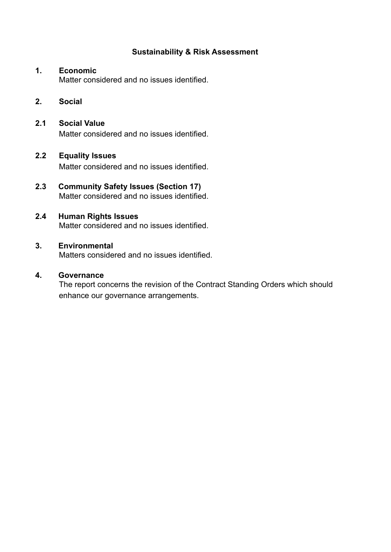#### **Sustainability & Risk Assessment**

#### **1. Economic**

Matter considered and no issues identified.

#### **2. Social**

## **2.1 Social Value**

Matter considered and no issues identified.

#### **2.2 Equality Issues**

Matter considered and no issues identified.

#### **2.3 Community Safety Issues (Section 17)** Matter considered and no issues identified.

#### **2.4 Human Rights Issues**

Matter considered and no issues identified.

#### **3. Environmental**

Matters considered and no issues identified.

#### **4. Governance**

The report concerns the revision of the Contract Standing Orders which should enhance our governance arrangements.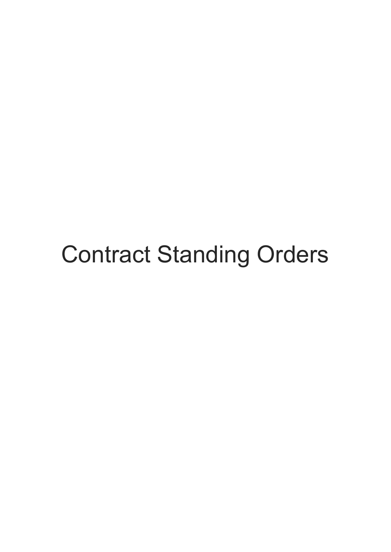# Contract Standing Orders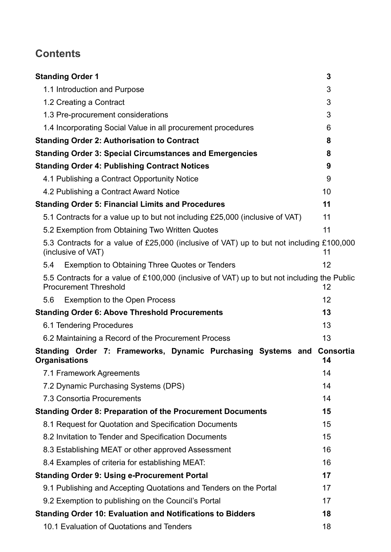# **Contents**

| <b>Standing Order 1</b>                                                                                                     | 3               |
|-----------------------------------------------------------------------------------------------------------------------------|-----------------|
| 1.1 Introduction and Purpose                                                                                                | 3               |
| 1.2 Creating a Contract                                                                                                     | 3               |
| 1.3 Pre-procurement considerations                                                                                          | 3               |
| 1.4 Incorporating Social Value in all procurement procedures                                                                | 6               |
| <b>Standing Order 2: Authorisation to Contract</b>                                                                          | 8               |
| <b>Standing Order 3: Special Circumstances and Emergencies</b>                                                              | 8               |
| <b>Standing Order 4: Publishing Contract Notices</b>                                                                        | 9               |
| 4.1 Publishing a Contract Opportunity Notice                                                                                | 9               |
| 4.2 Publishing a Contract Award Notice                                                                                      | 10              |
| <b>Standing Order 5: Financial Limits and Procedures</b>                                                                    | 11              |
| 5.1 Contracts for a value up to but not including £25,000 (inclusive of VAT)                                                | 11              |
| 5.2 Exemption from Obtaining Two Written Quotes                                                                             | 11              |
| 5.3 Contracts for a value of £25,000 (inclusive of VAT) up to but not including £100,000<br>(inclusive of VAT)              | 11              |
| Exemption to Obtaining Three Quotes or Tenders<br>5.4                                                                       | 12              |
| 5.5 Contracts for a value of £100,000 (inclusive of VAT) up to but not including the Public<br><b>Procurement Threshold</b> | 12              |
| <b>Exemption to the Open Process</b><br>5.6                                                                                 | 12              |
| <b>Standing Order 6: Above Threshold Procurements</b>                                                                       | 13              |
| 6.1 Tendering Procedures                                                                                                    | 13              |
| 6.2 Maintaining a Record of the Procurement Process                                                                         | 13              |
| Standing Order 7: Frameworks, Dynamic Purchasing Systems and<br><b>Organisations</b>                                        | Consortia<br>14 |
| 7.1 Framework Agreements                                                                                                    | 14              |
| 7.2 Dynamic Purchasing Systems (DPS)                                                                                        | 14              |
| 7.3 Consortia Procurements                                                                                                  | 14              |
| <b>Standing Order 8: Preparation of the Procurement Documents</b>                                                           | 15              |
| 8.1 Request for Quotation and Specification Documents                                                                       | 15              |
| 8.2 Invitation to Tender and Specification Documents                                                                        | 15              |
| 8.3 Establishing MEAT or other approved Assessment                                                                          | 16              |
| 8.4 Examples of criteria for establishing MEAT:                                                                             | 16              |
| <b>Standing Order 9: Using e-Procurement Portal</b>                                                                         | 17              |
| 9.1 Publishing and Accepting Quotations and Tenders on the Portal                                                           | 17              |
| 9.2 Exemption to publishing on the Council's Portal                                                                         | 17              |
| <b>Standing Order 10: Evaluation and Notifications to Bidders</b>                                                           | 18              |
| 10.1 Evaluation of Quotations and Tenders                                                                                   | 18              |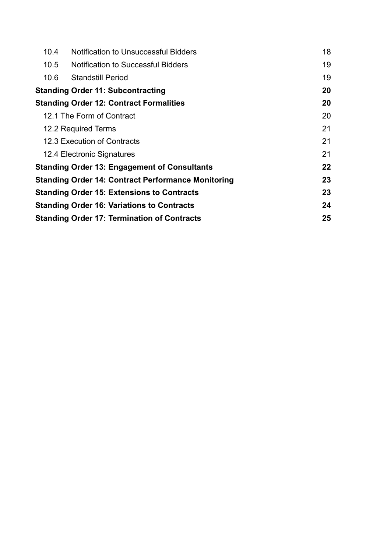| 10.4 | <b>Notification to Unsuccessful Bidders</b>               | 18 |  |
|------|-----------------------------------------------------------|----|--|
| 10.5 | <b>Notification to Successful Bidders</b>                 | 19 |  |
| 10.6 | <b>Standstill Period</b>                                  | 19 |  |
|      | <b>Standing Order 11: Subcontracting</b>                  | 20 |  |
|      | <b>Standing Order 12: Contract Formalities</b>            | 20 |  |
|      | 12.1 The Form of Contract                                 | 20 |  |
|      | 12.2 Required Terms                                       | 21 |  |
|      | 12.3 Execution of Contracts                               | 21 |  |
|      | 12.4 Electronic Signatures                                | 21 |  |
|      | <b>Standing Order 13: Engagement of Consultants</b>       | 22 |  |
|      | <b>Standing Order 14: Contract Performance Monitoring</b> | 23 |  |
|      | <b>Standing Order 15: Extensions to Contracts</b>         | 23 |  |
|      | <b>Standing Order 16: Variations to Contracts</b>         | 24 |  |
|      | 25<br><b>Standing Order 17: Termination of Contracts</b>  |    |  |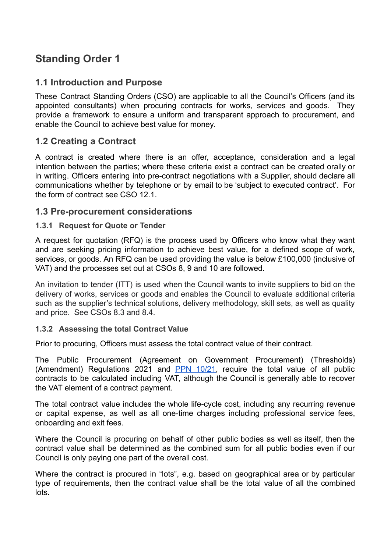# <span id="page-7-0"></span>**Standing Order 1**

## <span id="page-7-1"></span>**1.1 Introduction and Purpose**

These Contract Standing Orders (CSO) are applicable to all the Council's Officers (and its appointed consultants) when procuring contracts for works, services and goods. They provide a framework to ensure a uniform and transparent approach to procurement, and enable the Council to achieve best value for money.

## <span id="page-7-2"></span>**1.2 Creating a Contract**

A contract is created where there is an offer, acceptance, consideration and a legal intention between the parties; where these criteria exist a contract can be created orally or in writing. Officers entering into pre-contract negotiations with a Supplier, should declare all communications whether by telephone or by email to be 'subject to executed contract'. For the form of contract see CSO 12.1.

#### <span id="page-7-3"></span>**1.3 Pre-procurement considerations**

#### **1.3.1 Request for Quote or Tender**

A request for quotation (RFQ) is the process used by Officers who know what they want and are seeking pricing information to achieve best value, for a defined scope of work, services, or goods. An RFQ can be used providing the value is below £100,000 (inclusive of VAT) and the processes set out at CSOs 8, 9 and 10 are followed.

An invitation to tender (ITT) is used when the Council wants to invite suppliers to bid on the delivery of works, services or goods and enables the Council to evaluate additional criteria such as the supplier's technical solutions, delivery methodology, skill sets, as well as quality and price. See CSOs 8.3 and 8.4.

#### **1.3.2 Assessing the total Contract Value**

Prior to procuring, Officers must assess the total contract value of their contract.

The Public Procurement (Agreement on Government Procurement) (Thresholds) (Amendment) Regulations 2021 and PPN [10/21](https://assets.publishing.service.gov.uk/government/uploads/system/uploads/attachment_data/file/1041964/Procurement_Policy_Note_10_21_-_New_Thresholds_Values_and_Inclusion_of_VAT_in_Contract_Estimates.pdf), require the total value of all public contracts to be calculated including VAT, although the Council is generally able to recover the VAT element of a contract payment.

The total contract value includes the whole life-cycle cost, including any recurring revenue or capital expense, as well as all one-time charges including professional service fees, onboarding and exit fees.

Where the Council is procuring on behalf of other public bodies as well as itself, then the contract value shall be determined as the combined sum for all public bodies even if our Council is only paying one part of the overall cost.

Where the contract is procured in "lots", e.g. based on geographical area or by particular type of requirements, then the contract value shall be the total value of all the combined lots.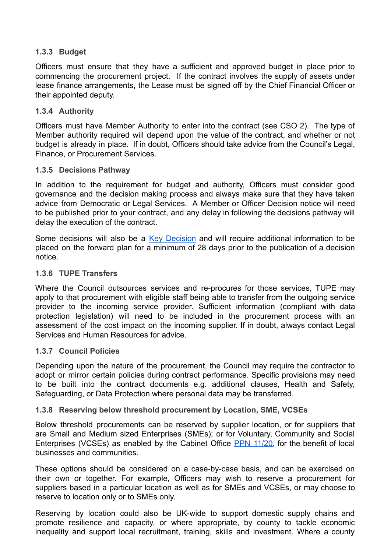#### **1.3.3 Budget**

Officers must ensure that they have a sufficient and approved budget in place prior to commencing the procurement project. If the contract involves the supply of assets under lease finance arrangements, the Lease must be signed off by the Chief Financial Officer or their appointed deputy.

#### **1.3.4 Authority**

Officers must have Member Authority to enter into the contract (see CSO 2). The type of Member authority required will depend upon the value of the contract, and whether or not budget is already in place. If in doubt, Officers should take advice from the Council's Legal, Finance, or Procurement Services.

#### **1.3.5 Decisions Pathway**

In addition to the requirement for budget and authority, Officers must consider good governance and the decision making process and always make sure that they have taken advice from Democratic or Legal Services. A Member or Officer Decision notice will need to be published prior to your contract, and any delay in following the decisions pathway will delay the execution of the contract.

Some decisions will also be a Key [Decision](https://www.adur-worthing.gov.uk/about-the-councils/key-decisions/#intro-key-decisions) and will require additional information to be placed on the forward plan for a minimum of 28 days prior to the publication of a decision notice.

#### **1.3.6 TUPE Transfers**

Where the Council outsources services and re-procures for those services, TUPE may apply to that procurement with eligible staff being able to transfer from the outgoing service provider to the incoming service provider. Sufficient information (compliant with data protection legislation) will need to be included in the procurement process with an assessment of the cost impact on the incoming supplier. If in doubt, always contact Legal Services and Human Resources for advice.

#### **1.3.7 Council Policies**

Depending upon the nature of the procurement, the Council may require the contractor to adopt or mirror certain policies during contract performance. Specific provisions may need to be built into the contract documents e.g. additional clauses, Health and Safety, Safeguarding, or Data Protection where personal data may be transferred.

#### **1.3.8 Reserving below threshold procurement by Location, SME, VCSEs**

Below threshold procurements can be reserved by supplier location, or for suppliers that are Small and Medium sized Enterprises (SMEs); or for Voluntary, Community and Social Enterprises (VCSEs) as enabled by the Cabinet Office PPN [11/20,](https://assets.publishing.service.gov.uk/government/uploads/system/uploads/attachment_data/file/1014493/20210818-PPN-11_20-Reserving-Below-Threshold-Procurements.pdf) for the benefit of local businesses and communities.

These options should be considered on a case-by-case basis, and can be exercised on their own or together. For example, Officers may wish to reserve a procurement for suppliers based in a particular location as well as for SMEs and VCSEs, or may choose to reserve to location only or to SMEs only.

Reserving by location could also be UK-wide to support domestic supply chains and promote resilience and capacity, or where appropriate, by county to tackle economic inequality and support local recruitment, training, skills and investment. Where a county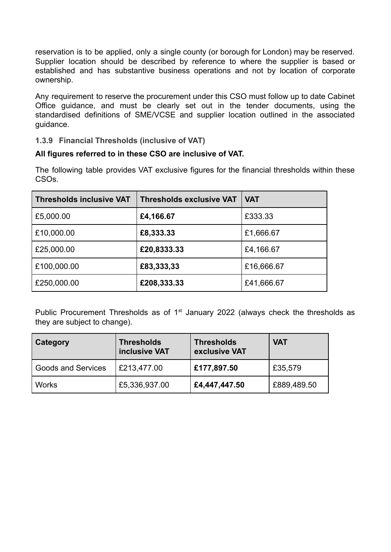reservation is to be applied, only a single county (or borough for London) may be reserved. Supplier location should be described by reference to where the supplier is based or established and has substantive business operations and not by location of corporate ownership.

Any requirement to reserve the procurement under this CSO must follow up to date Cabinet Office guidance, and must be clearly set out in the tender documents, using the standardised definitions of SME/VCSE and supplier location outlined in the associated guidance.

#### **1.3.9 Financial Thresholds (inclusive of VAT)**

#### **All figures referred to in these CSO are inclusive of VAT.**

The following table provides VAT exclusive figures for the financial thresholds within these CSOs.

| <b>Thresholds inclusive VAT</b> | <b>Thresholds exclusive VAT</b> | <b>VAT</b> |
|---------------------------------|---------------------------------|------------|
| £5,000.00                       | £4,166.67                       | £333.33    |
| £10,000.00                      | £8,333.33                       | £1,666.67  |
| £25,000.00                      | £20,8333.33                     | £4,166.67  |
| £100,000.00                     | £83,333,33                      | £16,666.67 |
| £250,000.00                     | £208,333.33                     | £41,666.67 |

Public Procurement Thresholds as of  $1<sup>st</sup>$  January 2022 (always check the thresholds as they are subject to change).

| Category                  | <b>Thresholds</b><br>inclusive VAT | <b>Thresholds</b><br>exclusive VAT | <b>VAT</b>  |
|---------------------------|------------------------------------|------------------------------------|-------------|
| <b>Goods and Services</b> | £213,477.00                        | £177,897.50                        | £35,579     |
| <b>Works</b>              | £5,336,937.00                      | £4,447,447.50                      | £889,489.50 |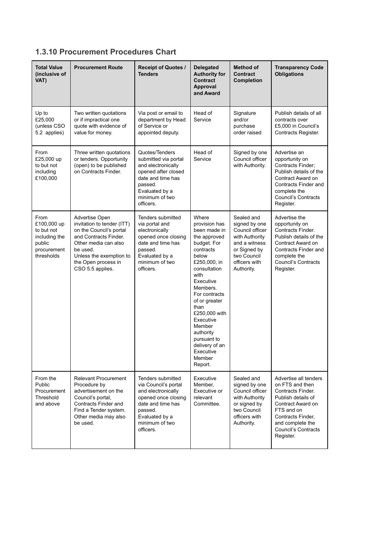## **1.3.10 Procurement Procedures Chart**

<span id="page-10-0"></span>

| <b>Total Value</b><br>(inclusive of<br>VAT)                                               | <b>Procurement Route</b>                                                                                                                                                                                   | Receipt of Quotes /<br><b>Tenders</b>                                                                                                                                   | <b>Delegated</b><br><b>Authority for</b><br><b>Contract</b><br>Approval<br>and Award                                                                                                                                                                                                                                           | Method of<br><b>Contract</b><br>Completion                                                                                                      | <b>Transparency Code</b><br><b>Obligations</b>                                                                                                                                                      |
|-------------------------------------------------------------------------------------------|------------------------------------------------------------------------------------------------------------------------------------------------------------------------------------------------------------|-------------------------------------------------------------------------------------------------------------------------------------------------------------------------|--------------------------------------------------------------------------------------------------------------------------------------------------------------------------------------------------------------------------------------------------------------------------------------------------------------------------------|-------------------------------------------------------------------------------------------------------------------------------------------------|-----------------------------------------------------------------------------------------------------------------------------------------------------------------------------------------------------|
| Up to<br>£25,000<br>(unless CSO<br>5.2 applies)                                           | Two written quotations<br>or if impractical one<br>quote with evidence of<br>value for money.                                                                                                              | Via post or email to<br>department by Head<br>of Service or<br>appointed deputy.                                                                                        | Head of<br>Service                                                                                                                                                                                                                                                                                                             | Signature<br>and/or<br>purchase<br>order raised                                                                                                 | Publish details of all<br>contracts over<br>£5,000 in Council's<br>Contracts Register.                                                                                                              |
| From<br>£25,000 up<br>to but not<br>including<br>£100,000                                 | Three written quotations<br>or tenders. Opportunity<br>(open) to be published<br>on Contracts Finder.                                                                                                      | Quotes/Tenders<br>submitted via portal<br>and electronically<br>opened after closed<br>date and time has<br>passed.<br>Evaluated by a<br>minimum of two<br>officers.    | Head of<br>Service                                                                                                                                                                                                                                                                                                             | Signed by one<br>Council officer<br>with Authority.                                                                                             | Advertise an<br>opportunity on<br>Contracts Finder:<br>Publish details of the<br>Contract Award on<br>Contracts Finder and<br>complete the<br>Council's Contracts<br>Register.                      |
| From<br>£100,000 up<br>to but not<br>including the<br>public<br>procurement<br>thresholds | Advertise Open<br>invitation to tender (ITT)<br>on the Council's portal<br>and Contracts Finder.<br>Other media can also<br>be used.<br>Unless the exemption to<br>the Open process in<br>CSO 5.5 applies. | Tenders submitted<br>via portal and<br>electronically<br>opened once closing<br>date and time has<br>passed.<br>Evaluated by a<br>minimum of two<br>officers.           | Where<br>provision has<br>been made in<br>the approved<br>budget. For<br>contracts<br>below<br>£250,000, in<br>consultation<br>with<br>Executive<br>Members.<br>For contracts<br>of or greater<br>than<br>£250,000 with<br>Executive<br>Member<br>authority<br>pursuant to<br>delivery of an<br>Executive<br>Member<br>Report. | Sealed and<br>signed by one<br>Council officer<br>with Authority<br>and a witness<br>or Signed by<br>two Council<br>officers with<br>Authority. | Advertise the<br>opportunity on<br>Contracts Finder.<br>Publish details of the<br>Contract Award on<br>Contracts Finder and<br>complete the<br><b>Council's Contracts</b><br>Register.              |
| From the<br>Public<br>Procurement<br>Threshold<br>and above                               | <b>Relevant Procurement</b><br>Procedure by<br>advertisement on the<br>Council's portal,<br>Contracts Finder and<br>Find a Tender system.<br>Other media may also<br>be used.                              | Tenders submitted<br>via Council's portal<br>and electronically<br>opened once closing<br>date and time has<br>passed.<br>Evaluated by a<br>minimum of two<br>officers. | Executive<br>Member,<br>Executive or<br>relevant<br>Committee.                                                                                                                                                                                                                                                                 | Sealed and<br>signed by one<br>Council officer<br>with Authority<br>or signed by<br>two Council<br>officers with<br>Authority.                  | Advertise all tenders<br>on FTS and then<br>Contracts Finder.<br>Publish details of<br>Contract Award on<br>FTS and on<br>Contracts Finder,<br>and complete the<br>Council's Contracts<br>Register. |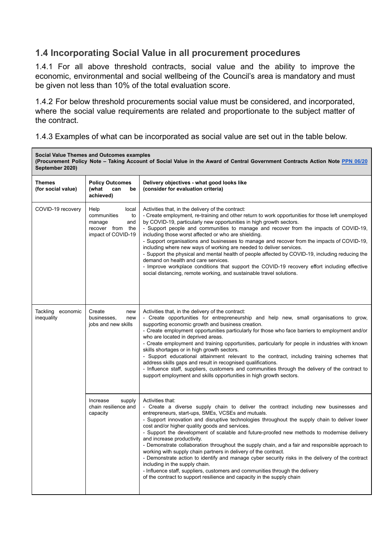## **1.4 Incorporating Social Value in all procurement procedures**

1.4.1 For all above threshold contracts, social value and the ability to improve the economic, environmental and social wellbeing of the Council's area is mandatory and must be given not less than 10% of the total evaluation score.

1.4.2 For below threshold procurements social value must be considered, and incorporated, where the social value requirements are related and proportionate to the subject matter of the contract.

1.4.3 Examples of what can be incorporated as social value are set out in the table below.

| <b>Social Value Themes and Outcomes examples</b><br>(Procurement Policy Note – Taking Account of Social Value in the Award of Central Government Contracts Action Note PPN 06/20<br>September 2020) |                                                                                               |                                                                                                                                                                                                                                                                                                                                                                                                                                                                                                                                                                                                                                                                                                                                                                                                                                                                                                                     |  |
|-----------------------------------------------------------------------------------------------------------------------------------------------------------------------------------------------------|-----------------------------------------------------------------------------------------------|---------------------------------------------------------------------------------------------------------------------------------------------------------------------------------------------------------------------------------------------------------------------------------------------------------------------------------------------------------------------------------------------------------------------------------------------------------------------------------------------------------------------------------------------------------------------------------------------------------------------------------------------------------------------------------------------------------------------------------------------------------------------------------------------------------------------------------------------------------------------------------------------------------------------|--|
| <b>Themes</b><br>(for social value)                                                                                                                                                                 | <b>Policy Outcomes</b><br>(what<br>can<br>be<br>achieved)                                     | Delivery objectives - what good looks like<br>(consider for evaluation criteria)                                                                                                                                                                                                                                                                                                                                                                                                                                                                                                                                                                                                                                                                                                                                                                                                                                    |  |
| COVID-19 recovery                                                                                                                                                                                   | Help<br>local<br>communities<br>to<br>manage<br>and<br>recover from the<br>impact of COVID-19 | Activities that, in the delivery of the contract:<br>- Create employment, re-training and other return to work opportunities for those left unemployed<br>by COVID-19, particularly new opportunities in high growth sectors.<br>- Support people and communities to manage and recover from the impacts of COVID-19,<br>including those worst affected or who are shielding.<br>- Support organisations and businesses to manage and recover from the impacts of COVID-19,<br>including where new ways of working are needed to deliver services.<br>- Support the physical and mental health of people affected by COVID-19, including reducing the<br>demand on health and care services.<br>- Improve workplace conditions that support the COVID-19 recovery effort including effective<br>social distancing, remote working, and sustainable travel solutions.                                                |  |
| Tackling economic<br>inequality                                                                                                                                                                     | Create<br>new<br>businesses,<br>new<br>jobs and new skills                                    | Activities that, in the delivery of the contract:<br>- Create opportunities for entrepreneurship and help new, small organisations to grow,<br>supporting economic growth and business creation.<br>- Create employment opportunities particularly for those who face barriers to employment and/or<br>who are located in deprived areas.<br>- Create employment and training opportunities, particularly for people in industries with known<br>skills shortages or in high growth sectors.<br>- Support educational attainment relevant to the contract, including training schemes that<br>address skills gaps and result in recognised qualifications.<br>- Influence staff, suppliers, customers and communities through the delivery of the contract to<br>support employment and skills opportunities in high growth sectors.                                                                                |  |
|                                                                                                                                                                                                     | Increase<br>supply<br>chain resilience and<br>capacity                                        | Activities that:<br>- Create a diverse supply chain to deliver the contract including new businesses and<br>entrepreneurs, start-ups, SMEs, VCSEs and mutuals.<br>- Support innovation and disruptive technologies throughout the supply chain to deliver lower<br>cost and/or higher quality goods and services.<br>- Support the development of scalable and future-proofed new methods to modernise delivery<br>and increase productivity.<br>- Demonstrate collaboration throughout the supply chain, and a fair and responsible approach to<br>working with supply chain partners in delivery of the contract.<br>- Demonstrate action to identify and manage cyber security risks in the delivery of the contract<br>including in the supply chain.<br>- Influence staff, suppliers, customers and communities through the delivery<br>of the contract to support resilience and capacity in the supply chain |  |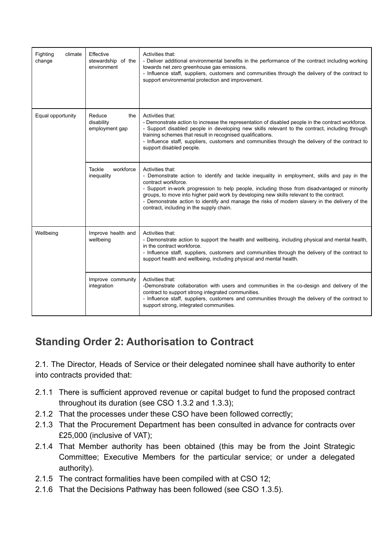| Fighting<br>climate<br>change | Effective<br>stewardship of the<br>environment | Activities that:<br>- Deliver additional environmental benefits in the performance of the contract including working<br>towards net zero greenhouse gas emissions.<br>- Influence staff, suppliers, customers and communities through the delivery of the contract to<br>support environmental protection and improvement.                                                                                                                                                       |
|-------------------------------|------------------------------------------------|----------------------------------------------------------------------------------------------------------------------------------------------------------------------------------------------------------------------------------------------------------------------------------------------------------------------------------------------------------------------------------------------------------------------------------------------------------------------------------|
| Equal opportunity             | Reduce<br>the<br>disability<br>employment gap  | Activities that:<br>- Demonstrate action to increase the representation of disabled people in the contract workforce.<br>- Support disabled people in developing new skills relevant to the contract, including through<br>training schemes that result in recognised qualifications.<br>- Influence staff, suppliers, customers and communities through the delivery of the contract to<br>support disabled people.                                                             |
|                               | workforce<br><b>Tackle</b><br>inequality       | Activities that:<br>- Demonstrate action to identify and tackle inequality in employment, skills and pay in the<br>contract workforce.<br>- Support in-work progression to help people, including those from disadvantaged or minority<br>groups, to move into higher paid work by developing new skills relevant to the contract.<br>- Demonstrate action to identify and manage the risks of modern slavery in the delivery of the<br>contract, including in the supply chain. |
| Wellbeing                     | Improve health and<br>wellbeing                | Activities that:<br>- Demonstrate action to support the health and wellbeing, including physical and mental health,<br>in the contract workforce.<br>- Influence staff, suppliers, customers and communities through the delivery of the contract to<br>support health and wellbeing, including physical and mental health.                                                                                                                                                      |
|                               | Improve community<br>integration               | Activities that:<br>-Demonstrate collaboration with users and communities in the co-design and delivery of the<br>contract to support strong integrated communities.<br>- Influence staff, suppliers, customers and communities through the delivery of the contract to<br>support strong, integrated communities.                                                                                                                                                               |

# <span id="page-12-0"></span>**Standing Order 2: Authorisation to Contract**

2.1. The Director, Heads of Service or their delegated nominee shall have authority to enter into contracts provided that:

- 2.1.1 There is sufficient approved revenue or capital budget to fund the proposed contract throughout its duration (see CSO 1.3.2 and 1.3.3);
- 2.1.2 That the processes under these CSO have been followed correctly;
- 2.1.3 That the Procurement Department has been consulted in advance for contracts over £25,000 (inclusive of VAT);
- 2.1.4 That Member authority has been obtained (this may be from the Joint Strategic Committee; Executive Members for the particular service; or under a delegated authority).
- 2.1.5 The contract formalities have been compiled with at CSO 12;
- 2.1.6 That the Decisions Pathway has been followed (see CSO 1.3.5).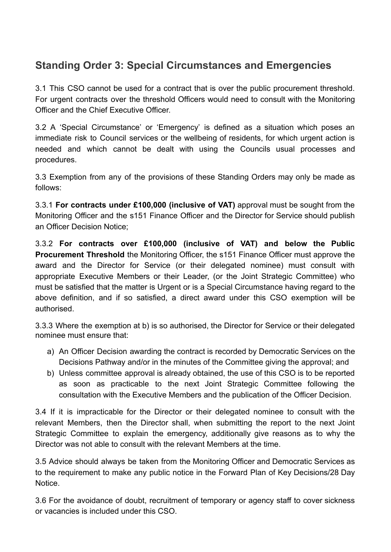# <span id="page-13-0"></span>**Standing Order 3: Special Circumstances and Emergencies**

3.1 This CSO cannot be used for a contract that is over the public procurement threshold. For urgent contracts over the threshold Officers would need to consult with the Monitoring Officer and the Chief Executive Officer.

3.2 A 'Special Circumstance' or 'Emergency' is defined as a situation which poses an immediate risk to Council services or the wellbeing of residents, for which urgent action is needed and which cannot be dealt with using the Councils usual processes and procedures.

3.3 Exemption from any of the provisions of these Standing Orders may only be made as follows:

3.3.1 **For contracts under £100,000 (inclusive of VAT)** approval must be sought from the Monitoring Officer and the s151 Finance Officer and the Director for Service should publish an Officer Decision Notice;

3.3.2 **For contracts over £100,000 (inclusive of VAT) and below the Public Procurement Threshold** the Monitoring Officer, the s151 Finance Officer must approve the award and the Director for Service (or their delegated nominee) must consult with appropriate Executive Members or their Leader, (or the Joint Strategic Committee) who must be satisfied that the matter is Urgent or is a Special Circumstance having regard to the above definition, and if so satisfied, a direct award under this CSO exemption will be authorised.

3.3.3 Where the exemption at b) is so authorised, the Director for Service or their delegated nominee must ensure that:

- a) An Officer Decision awarding the contract is recorded by Democratic Services on the Decisions Pathway and/or in the minutes of the Committee giving the approval; and
- b) Unless committee approval is already obtained, the use of this CSO is to be reported as soon as practicable to the next Joint Strategic Committee following the consultation with the Executive Members and the publication of the Officer Decision.

3.4 If it is impracticable for the Director or their delegated nominee to consult with the relevant Members, then the Director shall, when submitting the report to the next Joint Strategic Committee to explain the emergency, additionally give reasons as to why the Director was not able to consult with the relevant Members at the time.

3.5 Advice should always be taken from the Monitoring Officer and Democratic Services as to the requirement to make any public notice in the Forward Plan of Key Decisions/28 Day Notice.

3.6 For the avoidance of doubt, recruitment of temporary or agency staff to cover sickness or vacancies is included under this CSO.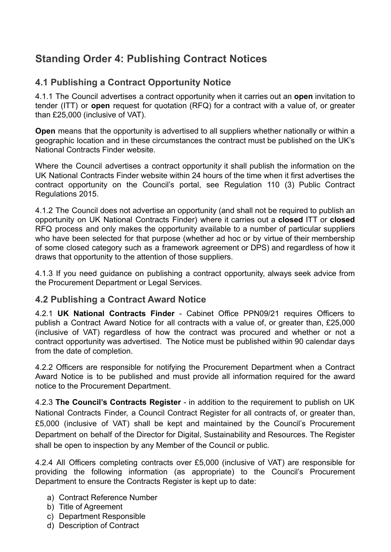# <span id="page-14-0"></span>**Standing Order 4: Publishing Contract Notices**

## <span id="page-14-1"></span>**4.1 Publishing a Contract Opportunity Notice**

4.1.1 The Council advertises a contract opportunity when it carries out an **open** invitation to tender (ITT) or **open** request for quotation (RFQ) for a contract with a value of, or greater than £25,000 (inclusive of VAT).

**Open** means that the opportunity is advertised to all suppliers whether nationally or within a geographic location and in these circumstances the contract must be published on the UK's National Contracts Finder website.

Where the Council advertises a contract opportunit*y* it shall publish the information on the UK National Contracts Finder website within 24 hours of the time when it first advertises the contract opportunity on the Council's portal, see Regulation 110 (3) Public Contract Regulations 2015.

4.1.2 The Council does not advertise an opportunity (and shall not be required to publish an opportunity on UK National Contracts Finder) where it carries out a **closed** ITT or **closed** RFQ process and only makes the opportunity available to a number of particular suppliers who have been selected for that purpose (whether ad hoc or by virtue of their membership of some closed category such as a framework agreement or DPS) and regardless of how it draws that opportunity to the attention of those suppliers.

4.1.3 If you need guidance on publishing a contract opportunity, always seek advice from the Procurement Department or Legal Services.

## <span id="page-14-2"></span>**4.2 Publishing a Contract Award Notice**

4.2.1 **UK National Contracts Finder** - Cabinet Office [PPN09/21](https://assets.publishing.service.gov.uk/government/uploads/system/uploads/attachment_data/file/1044547/2021-12-21_Procurement_Policy_Note___Legal_requirements_to_publish_on_Contracts_Finder_update_December_2021.pdf) requires Officers to publish a Contract Award Notice for all contracts with a value of, or greater than, £25,000 (inclusive of VAT) regardless of how the contract was procured and whether or not a contract opportunity was advertised. The Notice must be published within 90 calendar days from the date of completion.

4.2.2 Officers are responsible for notifying the Procurement Department when a Contract Award Notice is to be published and must provide all information required for the award notice to the Procurement Department.

4.2.3 **The Council's Contracts Register** - in addition to the requirement to publish on UK National Contracts Finder, a Council Contract Register for all contracts of, or greater than, £5,000 (inclusive of VAT) shall be kept and maintained by the Council's Procurement Department on behalf of the Director for Digital, Sustainability and Resources. The Register shall be open to inspection by any Member of the Council or public.

4.2.4 All Officers completing contracts over £5,000 (inclusive of VAT) are responsible for providing the following information (as appropriate) to the Council's Procurement Department to ensure the Contracts Register is kept up to date:

- a) Contract Reference Number
- b) Title of Agreement
- c) Department Responsible
- d) Description of Contract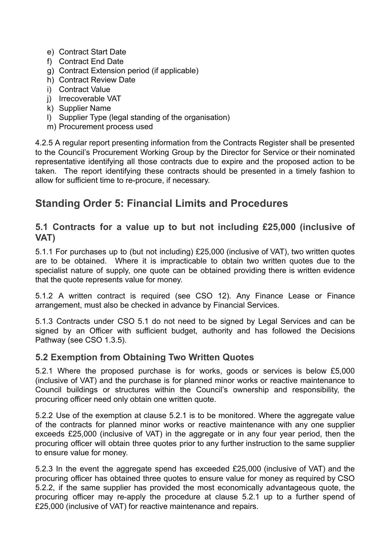- e) Contract Start Date
- f) Contract End Date
- g) Contract Extension period (if applicable)
- h) Contract Review Date
- i) Contract Value
- j) Irrecoverable VAT
- k) Supplier Name
- l) Supplier Type (legal standing of the organisation)
- m) Procurement process used

4.2.5 A regular report presenting information from the Contracts Register shall be presented to the Council's Procurement Working Group by the Director for Service or their nominated representative identifying all those contracts due to expire and the proposed action to be taken. The report identifying these contracts should be presented in a timely fashion to allow for sufficient time to re-procure, if necessary.

# <span id="page-15-0"></span>**Standing Order 5: Financial Limits and Procedures**

#### <span id="page-15-1"></span>**5.1 Contracts for a value up to but not including £25,000 (inclusive of VAT)**

5.1.1 For purchases up to (but not including) £25,000 (inclusive of VAT), two written quotes are to be obtained. Where it is impracticable to obtain two written quotes due to the specialist nature of supply, one quote can be obtained providing there is written evidence that the quote represents value for money.

5.1.2 A written contract is required (see CSO 12). Any Finance Lease or Finance arrangement, must also be checked in advance by Financial Services.

5.1.3 Contracts under CSO 5.1 do not need to be signed by Legal Services and can be signed by an Officer with sufficient budget, authority and has followed the Decisions Pathway (see CSO 1.3.5).

#### <span id="page-15-2"></span>**5.2 Exemption from Obtaining Two Written Quotes**

5.2.1 Where the proposed purchase is for works, goods or services is below £5,000 (inclusive of VAT) and the purchase is for planned minor works or reactive maintenance to Council buildings or structures within the Council's ownership and responsibility, the procuring officer need only obtain one written quote.

5.2.2 Use of the exemption at clause 5.2.1 is to be monitored. Where the aggregate value of the contracts for planned minor works or reactive maintenance with any one supplier exceeds £25,000 (inclusive of VAT) in the aggregate or in any four year period, then the procuring officer will obtain three quotes prior to any further instruction to the same supplier to ensure value for money.

5.2.3 In the event the aggregate spend has exceeded £25,000 (inclusive of VAT) and the procuring officer has obtained three quotes to ensure value for money as required by CSO 5.2.2, if the same supplier has provided the most economically advantageous quote, the procuring officer may re-apply the procedure at clause 5.2.1 up to a further spend of £25,000 (inclusive of VAT) for reactive maintenance and repairs.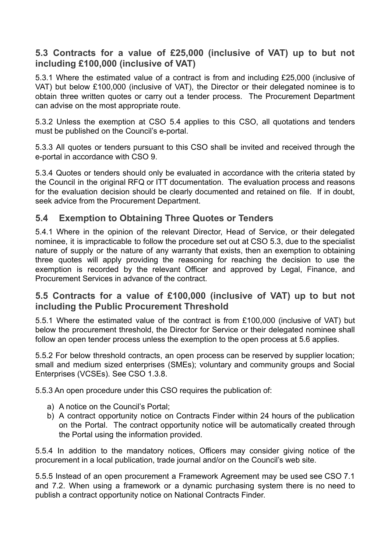## <span id="page-16-0"></span>**5.3 Contracts for a value of £25,000 (inclusive of VAT) up to but not including £100,000 (inclusive of VAT)**

5.3.1 Where the estimated value of a contract is from and including £25,000 (inclusive of VAT) but below £100,000 (inclusive of VAT), the Director or their delegated nominee is to obtain three written quotes or carry out a tender process. The Procurement Department can advise on the most appropriate route.

5.3.2 Unless the exemption at CSO 5.4 applies to this CSO, all quotations and tenders must be published on the Council's e-portal.

5.3.3 All quotes or tenders pursuant to this CSO shall be invited and received through the e-portal in accordance with CSO 9.

5.3.4 Quotes or tenders should only be evaluated in accordance with the criteria stated by the Council in the original RFQ or ITT documentation. The evaluation process and reasons for the evaluation decision should be clearly documented and retained on file. If in doubt, seek advice from the Procurement Department.

## <span id="page-16-1"></span>**5.4 Exemption to Obtaining Three Quotes or Tenders**

5.4.1 Where in the opinion of the relevant Director, Head of Service, or their delegated nominee, it is impracticable to follow the procedure set out at CSO 5.3, due to the specialist nature of supply or the nature of any warranty that exists, then an exemption to obtaining three quotes will apply providing the reasoning for reaching the decision to use the exemption is recorded by the relevant Officer and approved by Legal, Finance, and Procurement Services in advance of the contract.

## <span id="page-16-2"></span>**5.5 Contracts for a value of £100,000 (inclusive of VAT) up to but not including the Public Procurement Threshold**

5.5.1 Where the estimated value of the contract is from £100,000 (inclusive of VAT) but below the procurement threshold, the Director for Service or their delegated nominee shall follow an open tender process unless the exemption to the open process at 5.6 applies.

5.5.2 For below threshold contracts, an open process can be reserved by supplier location; small and medium sized enterprises (SMEs); voluntary and community groups and Social Enterprises (VCSEs). See CSO 1.3.8.

5.5.3 An open procedure under this CSO requires the publication of:

- a) A notice on the Council's Portal;
- b) A contract opportunity notice on Contracts Finder within 24 hours of the publication on the Portal. The contract opportunity notice will be automatically created through the Portal using the information provided.

5.5.4 In addition to the mandatory notices, Officers may consider giving notice of the procurement in a local publication, trade journal and/or on the Council's web site.

5.5.5 Instead of an open procurement a Framework Agreement may be used see CSO 7.1 and 7.2. When using a framework or a dynamic purchasing system there is no need to publish a contract opportunity notice on National Contracts Finder.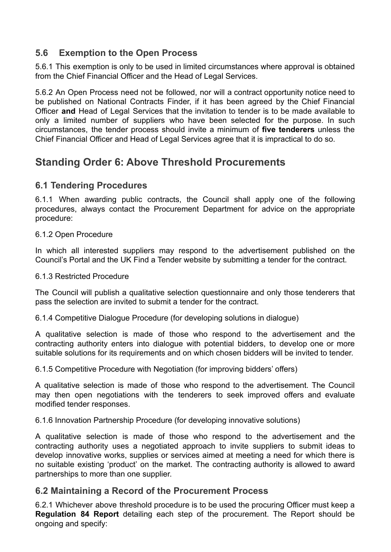## <span id="page-17-0"></span>**5.6 Exemption to the Open Process**

5.6.1 This exemption is only to be used in limited circumstances where approval is obtained from the Chief Financial Officer and the Head of Legal Services.

5.6.2 An Open Process need not be followed, nor will a contract opportunity notice need to be published on National Contracts Finder, if it has been agreed by the Chief Financial Officer **and** Head of Legal Services that the invitation to tender is to be made available to only a limited number of suppliers who have been selected for the purpose. In such circumstances, the tender process should invite a minimum of **five tenderers** unless the Chief Financial Officer and Head of Legal Services agree that it is impractical to do so.

# <span id="page-17-1"></span>**Standing Order 6: Above Threshold Procurements**

## <span id="page-17-2"></span>**6.1 Tendering Procedures**

6.1.1 When awarding public contracts, the Council shall apply one of the following procedures, always contact the Procurement Department for advice on the appropriate procedure:

#### 6.1.2 Open Procedure

In which all interested suppliers may respond to the advertisement published on the Council's Portal and the UK Find a Tender website by submitting a tender for the contract.

#### 6.1.3 Restricted Procedure

The Council will publish a qualitative selection questionnaire and only those tenderers that pass the selection are invited to submit a tender for the contract.

6.1.4 Competitive Dialogue Procedure (for developing solutions in dialogue)

A qualitative selection is made of those who respond to the advertisement and the contracting authority enters into dialogue with potential bidders, to develop one or more suitable solutions for its requirements and on which chosen bidders will be invited to tender.

6.1.5 Competitive Procedure with Negotiation (for improving bidders' offers)

A qualitative selection is made of those who respond to the advertisement. The Council may then open negotiations with the tenderers to seek improved offers and evaluate modified tender responses.

6.1.6 Innovation Partnership Procedure (for developing innovative solutions)

A qualitative selection is made of those who respond to the advertisement and the contracting authority uses a negotiated approach to invite suppliers to submit ideas to develop innovative works, supplies or services aimed at meeting a need for which there is no suitable existing 'product' on the market. The contracting authority is allowed to award partnerships to more than one supplier.

#### <span id="page-17-3"></span>**6.2 Maintaining a Record of the Procurement Process**

6.2.1 Whichever above threshold procedure is to be used the procuring Officer must keep a **Regulation 84 Report** detailing each step of the procurement. The Report should be ongoing and specify: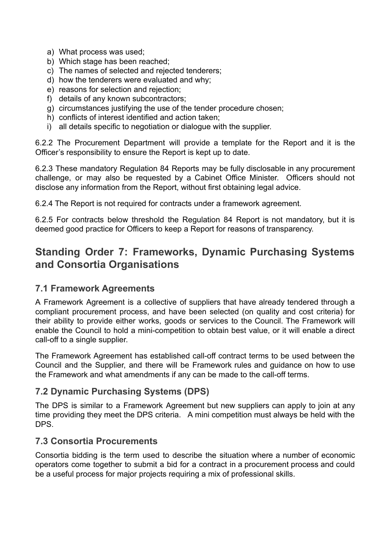- a) What process was used;
- b) Which stage has been reached;
- c) The names of selected and rejected tenderers;
- d) how the tenderers were evaluated and why;
- e) reasons for selection and rejection;
- f) details of any known subcontractors;
- g) circumstances justifying the use of the tender procedure chosen;
- h) conflicts of interest identified and action taken;
- i) all details specific to negotiation or dialogue with the supplier.

6.2.2 The Procurement Department will provide a template for the Report and it is the Officer's responsibility to ensure the Report is kept up to date.

6.2.3 These mandatory Regulation 84 Reports may be fully disclosable in any procurement challenge, or may also be requested by a Cabinet Office Minister. Officers should not disclose any information from the Report, without first obtaining legal advice.

6.2.4 The Report is not required for contracts under a framework agreement.

6.2.5 For contracts below threshold the Regulation 84 Report is not mandatory, but it is deemed good practice for Officers to keep a Report for reasons of transparency.

# <span id="page-18-0"></span>**Standing Order 7: Frameworks, Dynamic Purchasing Systems and Consortia Organisations**

## <span id="page-18-1"></span>**7.1 Framework Agreements**

A Framework Agreement is a collective of suppliers that have already tendered through a compliant procurement process, and have been selected (on quality and cost criteria) for their ability to provide either works, goods or services to the Council. The Framework will enable the Council to hold a mini-competition to obtain best value, or it will enable a direct call-off to a single supplier.

The Framework Agreement has established call-off contract terms to be used between the Council and the Supplier, and there will be Framework rules and guidance on how to use the Framework and what amendments if any can be made to the call-off terms.

## <span id="page-18-2"></span>**7.2 Dynamic Purchasing Systems (DPS)**

The DPS is similar to a Framework Agreement but new suppliers can apply to join at any time providing they meet the DPS criteria. A mini competition must always be held with the DPS.

## <span id="page-18-3"></span>**7.3 Consortia Procurements**

Consortia bidding is the term used to describe the situation where a number of economic operators come together to submit a bid for a contract in a procurement process and could be a useful process for major projects requiring a mix of professional skills.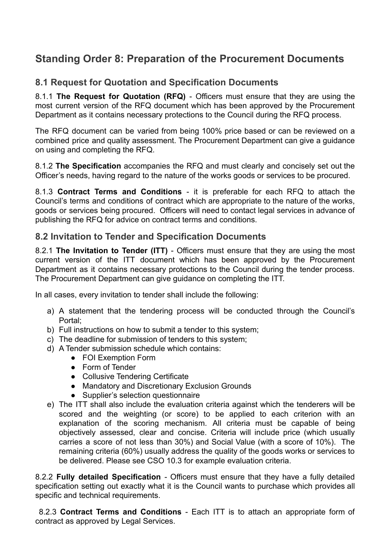# <span id="page-19-0"></span>**Standing Order 8: Preparation of the Procurement Documents**

## <span id="page-19-1"></span>**8.1 Request for Quotation and Specification Documents**

8.1.1 **The Request for Quotation (RFQ)** - Officers must ensure that they are using the most current version of the RFQ document which has been approved by the Procurement Department as it contains necessary protections to the Council during the RFQ process.

The RFQ document can be varied from being 100% price based or can be reviewed on a combined price and quality assessment. The Procurement Department can give a guidance on using and completing the RFQ.

8.1.2 **The Specification** accompanies the RFQ and must clearly and concisely set out the Officer's needs, having regard to the nature of the works goods or services to be procured.

8.1.3 **Contract Terms and Conditions** - it is preferable for each RFQ to attach the Council's terms and conditions of contract which are appropriate to the nature of the works, goods or services being procured. Officers will need to contact legal services in advance of publishing the RFQ for advice on contract terms and conditions.

## <span id="page-19-2"></span>**8.2 Invitation to Tender and Specification Documents**

8.2.1 **The Invitation to Tender (ITT)** - Officers must ensure that they are using the most current version of the ITT document which has been approved by the Procurement Department as it contains necessary protections to the Council during the tender process. The Procurement Department can give guidance on completing the ITT.

In all cases, every invitation to tender shall include the following:

- a) A statement that the tendering process will be conducted through the Council's Portal;
- b) Full instructions on how to submit a tender to this system;
- c) The deadline for submission of tenders to this system;
- d) A Tender submission schedule which contains:
	- FOI Exemption Form
	- Form of Tender
	- Collusive Tendering Certificate
	- Mandatory and Discretionary Exclusion Grounds
	- Supplier's selection questionnaire
- e) The ITT shall also include the evaluation criteria against which the tenderers will be scored and the weighting (or score) to be applied to each criterion with an explanation of the scoring mechanism. All criteria must be capable of being objectively assessed, clear and concise. Criteria will include price (which usually carries a score of not less than 30%) and Social Value (with a score of 10%). The remaining criteria (60%) usually address the quality of the goods works or services to be delivered. Please see CSO 10.3 for example evaluation criteria.

8.2.2 **Fully detailed Specification** - Officers must ensure that they have a fully detailed specification setting out exactly what it is the Council wants to purchase which provides all specific and technical requirements.

8.2.3 **Contract Terms and Conditions** - Each ITT is to attach an appropriate form of contract as approved by Legal Services.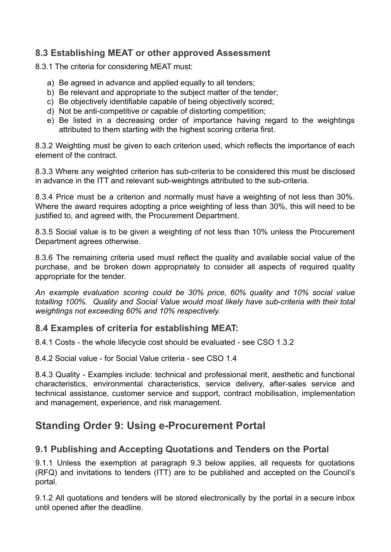## <span id="page-20-0"></span>**8.3 Establishing MEAT or other approved Assessment**

8.3.1 The criteria for considering MEAT must:

- a) Be agreed in advance and applied equally to all tenders;
- b) Be relevant and appropriate to the subject matter of the tender;
- c) Be objectively identifiable capable of being objectively scored;
- d) Not be anti-competitive or capable of distorting competition;
- e) Be listed in a decreasing order of importance having regard to the weightings attributed to them starting with the highest scoring criteria first.

8.3.2 Weighting must be given to each criterion used, which reflects the importance of each element of the contract.

8.3.3 Where any weighted criterion has sub-criteria to be considered this must be disclosed in advance in the ITT and relevant sub-weightings attributed to the sub-criteria.

8.3.4 Price must be a criterion and normally must have a weighting of not less than 30%. Where the award requires adopting a price weighting of less than 30%, this will need to be justified to, and agreed with, the Procurement Department.

8.3.5 Social value is to be given a weighting of not less than 10% unless the Procurement Department agrees otherwise.

8.3.6 The remaining criteria used must reflect the quality and available social value of the purchase, and be broken down appropriately to consider all aspects of required quality appropriate for the tender.

*An example evaluation scoring could be 30% price, 60% quality and 10% social value totalling 100%. Quality and Social Value would most likely have sub-criteria with their total weightings not exceeding 60% and 10% respectively.*

## <span id="page-20-1"></span>**8.4 Examples of criteria for establishing MEAT:**

8.4.1 Costs - the whole lifecycle cost should be evaluated - see CSO 1.3.2

8.4.2 Social value - for Social Value criteria - see CSO 1.4

8.4.3 Quality - Examples include: technical and professional merit, aesthetic and functional characteristics, environmental characteristics, service delivery, after-sales service and technical assistance, customer service and support, contract mobilisation, implementation and management, experience, and risk management.

# <span id="page-20-2"></span>**Standing Order 9: Using e-Procurement Portal**

## <span id="page-20-3"></span>**9.1 Publishing and Accepting Quotations and Tenders on the Portal**

9.1.1 Unless the exemption at paragraph 9.3 below applies, all requests for quotations (RFQ) and invitations to tenders (ITT) are to be published and accepted on the Council's portal.

9.1.2 All quotations and tenders will be stored electronically by the portal in a secure inbox until opened after the deadline.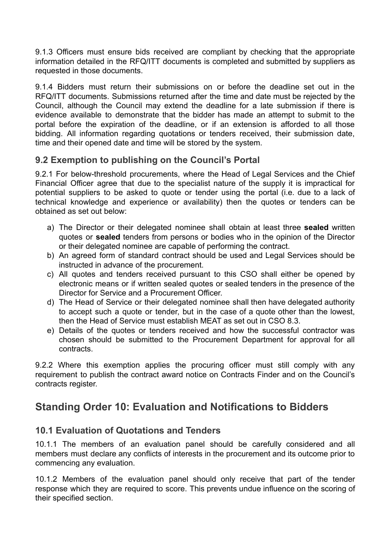9.1.3 Officers must ensure bids received are compliant by checking that the appropriate information detailed in the RFQ/ITT documents is completed and submitted by suppliers as requested in those documents.

9.1.4 Bidders must return their submissions on or before the deadline set out in the RFQ/ITT documents. Submissions returned after the time and date must be rejected by the Council, although the Council may extend the deadline for a late submission if there is evidence available to demonstrate that the bidder has made an attempt to submit to the portal before the expiration of the deadline, or if an extension is afforded to all those bidding. All information regarding quotations or tenders received, their submission date, time and their opened date and time will be stored by the system.

## <span id="page-21-0"></span>**9.2 Exemption to publishing on the Council's Portal**

9.2.1 For below-threshold procurements, where the Head of Legal Services and the Chief Financial Officer agree that due to the specialist nature of the supply it is impractical for potential suppliers to be asked to quote or tender using the portal (i.e. due to a lack of technical knowledge and experience or availability) then the quotes or tenders can be obtained as set out below:

- a) The Director or their delegated nominee shall obtain at least three **sealed** written quotes or **sealed** tenders from persons or bodies who in the opinion of the Director or their delegated nominee are capable of performing the contract.
- b) An agreed form of standard contract should be used and Legal Services should be instructed in advance of the procurement.
- c) All quotes and tenders received pursuant to this CSO shall either be opened by electronic means or if written sealed quotes or sealed tenders in the presence of the Director for Service and a Procurement Officer.
- d) The Head of Service or their delegated nominee shall then have delegated authority to accept such a quote or tender, but in the case of a quote other than the lowest, then the Head of Service must establish MEAT as set out in CSO 8.3.
- e) Details of the quotes or tenders received and how the successful contractor was chosen should be submitted to the Procurement Department for approval for all contracts.

9.2.2 Where this exemption applies the procuring officer must still comply with any requirement to publish the contract award notice on Contracts Finder and on the Council's contracts register.

# <span id="page-21-1"></span>**Standing Order 10: Evaluation and Notifications to Bidders**

## <span id="page-21-2"></span>**10.1 Evaluation of Quotations and Tenders**

10.1.1 The members of an evaluation panel should be carefully considered and all members must declare any conflicts of interests in the procurement and its outcome prior to commencing any evaluation.

10.1.2 Members of the evaluation panel should only receive that part of the tender response which they are required to score. This prevents undue influence on the scoring of their specified section.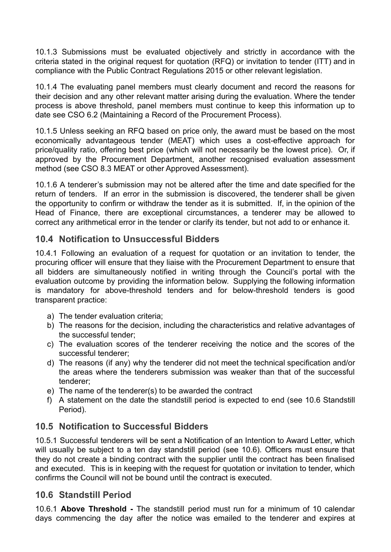10.1.3 Submissions must be evaluated objectively and strictly in accordance with the criteria stated in the original request for quotation (RFQ) or invitation to tender (ITT) and in compliance with the Public Contract Regulations 2015 or other relevant legislation.

10.1.4 The evaluating panel members must clearly document and record the reasons for their decision and any other relevant matter arising during the evaluation. Where the tender process is above threshold, panel members must continue to keep this information up to date see CSO 6.2 (Maintaining a Record of the Procurement Process).

10.1.5 Unless seeking an RFQ based on price only, the award must be based on the most economically advantageous tender (MEAT) which uses a cost-effective approach for price/quality ratio, offering best price (which will not necessarily be the lowest price). Or, if approved by the Procurement Department, another recognised evaluation assessment method (see CSO 8.3 MEAT or other Approved Assessment).

10.1.6 A tenderer's submission may not be altered after the time and date specified for the return of tenders. If an error in the submission is discovered, the tenderer shall be given the opportunity to confirm or withdraw the tender as it is submitted. If, in the opinion of the Head of Finance, there are exceptional circumstances, a tenderer may be allowed to correct any arithmetical error in the tender or clarify its tender, but not add to or enhance it.

## <span id="page-22-0"></span>**10.4 Notification to Unsuccessful Bidders**

10.4.1 Following an evaluation of a request for quotation or an invitation to tender, the procuring officer will ensure that they liaise with the Procurement Department to ensure that all bidders are simultaneously notified in writing through the Council's portal with the evaluation outcome by providing the information below. Supplying the following information is mandatory for above-threshold tenders and for below-threshold tenders is good transparent practice:

- a) The tender evaluation criteria;
- b) The reasons for the decision, including the characteristics and relative advantages of the successful tender;
- c) The evaluation scores of the tenderer receiving the notice and the scores of the successful tenderer;
- d) The reasons (if any) why the tenderer did not meet the technical specification and/or the areas where the tenderers submission was weaker than that of the successful tenderer;
- e) The name of the tenderer(s) to be awarded the contract
- f) A statement on the date the standstill period is expected to end (see 10.6 Standstill Period).

## <span id="page-22-1"></span>**10.5 Notification to Successful Bidders**

10.5.1 Successful tenderers will be sent a Notification of an Intention to Award Letter, which will usually be subject to a ten day standstill period (see 10.6). Officers must ensure that they do not create a binding contract with the supplier until the contract has been finalised and executed. This is in keeping with the request for quotation or invitation to tender, which confirms the Council will not be bound until the contract is executed.

## <span id="page-22-2"></span>**10.6 Standstill Period**

10.6.1 **Above Threshold -** The standstill period must run for a minimum of 10 calendar days commencing the day after the notice was emailed to the tenderer and expires at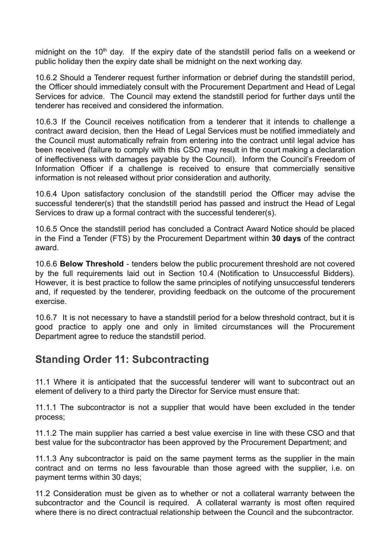midnight on the  $10<sup>th</sup>$  day. If the expiry date of the standstill period falls on a weekend or public holiday then the expiry date shall be midnight on the next working day.

10.6.2 Should a Tenderer request further information or debrief during the standstill period, the Officer should immediately consult with the Procurement Department and Head of Legal Services for advice. The Council may extend the standstill period for further days until the tenderer has received and considered the information.

10.6.3 If the Council receives notification from a tenderer that it intends to challenge a contract award decision, then the Head of Legal Services must be notified immediately and the Council must automatically refrain from entering into the contract until legal advice has been received (failure to comply with this CSO may result in the court making a declaration of ineffectiveness with damages payable by the Council). Inform the Council's Freedom of Information Officer if a challenge is received to ensure that commercially sensitive information is not released without prior consideration and authority.

10.6.4 Upon satisfactory conclusion of the standstill period the Officer may advise the successful tenderer(s) that the standstill period has passed and instruct the Head of Legal Services to draw up a formal contract with the successful tenderer(s).

10.6.5 Once the standstill period has concluded a Contract Award Notice should be placed in the Find a Tender (FTS) by the Procurement Department within **30 days** of the contract award.

10.6.6 **Below Threshold** - tenders below the public procurement threshold are not covered by the full requirements laid out in Section 10.4 (Notification to Unsuccessful Bidders). However, it is best practice to follow the same principles of notifying unsuccessful tenderers and, if requested by the tenderer, providing feedback on the outcome of the procurement exercise.

10.6.7 It is not necessary to have a standstill period for a below threshold contract, but it is good practice to apply one and only in limited circumstances will the Procurement Department agree to reduce the standstill period.

# <span id="page-23-0"></span>**Standing Order 11: Subcontracting**

11.1 Where it is anticipated that the successful tenderer will want to subcontract out an element of delivery to a third party the Director for Service must ensure that:

11.1.1 The subcontractor is not a supplier that would have been excluded in the tender process;

11.1.2 The main supplier has carried a best value exercise in line with these CSO and that best value for the subcontractor has been approved by the Procurement Department; and

11.1.3 Any subcontractor is paid on the same payment terms as the supplier in the main contract and on terms no less favourable than those agreed with the supplier, i.e. on payment terms within 30 days;

11.2 Consideration must be given as to whether or not a collateral warranty between the subcontractor and the Council is required. A collateral warranty is most often required where there is no direct contractual relationship between the Council and the subcontractor.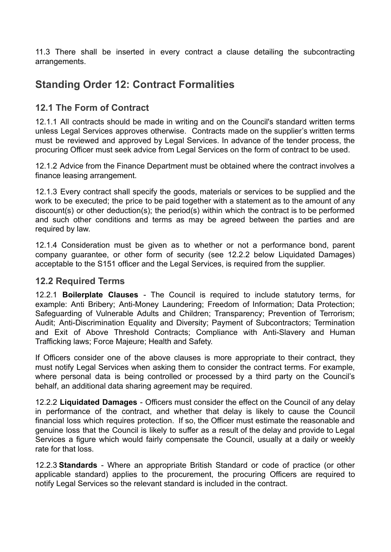11.3 There shall be inserted in every contract a clause detailing the subcontracting arrangements.

# <span id="page-24-0"></span>**Standing Order 12: Contract Formalities**

## <span id="page-24-1"></span>**12.1 The Form of Contract**

12.1.1 All contracts should be made in writing and on the Council's standard written terms unless Legal Services approves otherwise. Contracts made on the supplier's written terms must be reviewed and approved by Legal Services. In advance of the tender process, the procuring Officer must seek advice from Legal Services on the form of contract to be used.

12.1.2 Advice from the Finance Department must be obtained where the contract involves a finance leasing arrangement.

12.1.3 Every contract shall specify the goods, materials or services to be supplied and the work to be executed; the price to be paid together with a statement as to the amount of any discount(s) or other deduction(s); the period(s) within which the contract is to be performed and such other conditions and terms as may be agreed between the parties and are required by law.

12.1.4 Consideration must be given as to whether or not a performance bond, parent company guarantee, or other form of security (see 12.2.2 below Liquidated Damages) acceptable to the S151 officer and the Legal Services, is required from the supplier.

#### <span id="page-24-2"></span>**12.2 Required Terms**

12.2.1 **Boilerplate Clauses** - The Council is required to include statutory terms, for example: Anti Bribery; Anti-Money Laundering; Freedom of Information; Data Protection; Safeguarding of Vulnerable Adults and Children; Transparency; Prevention of Terrorism; Audit; Anti-Discrimination Equality and Diversity; Payment of Subcontractors; Termination and Exit of Above Threshold Contracts; Compliance with Anti-Slavery and Human Trafficking laws; Force Majeure; Health and Safety.

If Officers consider one of the above clauses is more appropriate to their contract, they must notify Legal Services when asking them to consider the contract terms. For example, where personal data is being controlled or processed by a third party on the Council's behalf, an additional data sharing agreement may be required.

12.2.2 **Liquidated Damages** - Officers must consider the effect on the Council of any delay in performance of the contract, and whether that delay is likely to cause the Council financial loss which requires protection. If so, the Officer must estimate the reasonable and genuine loss that the Council is likely to suffer as a result of the delay and provide to Legal Services a figure which would fairly compensate the Council, usually at a daily or weekly rate for that loss.

12.2.3 **Standards** - Where an appropriate British Standard or code of practice (or other applicable standard) applies to the procurement, the procuring Officers are required to notify Legal Services so the relevant standard is included in the contract.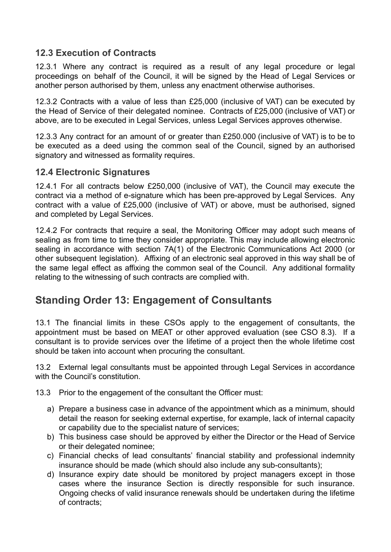## <span id="page-25-0"></span>**12.3 Execution of Contracts**

12.3.1 Where any contract is required as a result of any legal procedure or legal proceedings on behalf of the Council, it will be signed by the Head of Legal Services or another person authorised by them, unless any enactment otherwise authorises.

12.3.2 Contracts with a value of less than £25,000 (inclusive of VAT) can be executed by the Head of Service of their delegated nominee. Contracts of £25,000 (inclusive of VAT) or above, are to be executed in Legal Services, unless Legal Services approves otherwise.

12.3.3 Any contract for an amount of or greater than £250.000 (inclusive of VAT) is to be to be executed as a deed using the common seal of the Council, signed by an authorised signatory and witnessed as formality requires.

#### <span id="page-25-1"></span>**12.4 Electronic Signatures**

12.4.1 For all contracts below £250,000 (inclusive of VAT), the Council may execute the contract via a method of e-signature which has been pre-approved by Legal Services. Any contract with a value of £25,000 (inclusive of VAT) or above, must be authorised, signed and completed by Legal Services.

12.4.2 For contracts that require a seal, the Monitoring Officer may adopt such means of sealing as from time to time they consider appropriate. This may include allowing electronic sealing in accordance with section 7A(1) of the Electronic Communications Act 2000 (or other subsequent legislation). Affixing of an electronic seal approved in this way shall be of the same legal effect as affixing the common seal of the Council. Any additional formality relating to the witnessing of such contracts are complied with.

# <span id="page-25-2"></span>**Standing Order 13: Engagement of Consultants**

13.1 The financial limits in these CSOs apply to the engagement of consultants, the appointment must be based on MEAT or other approved evaluation (see CSO 8.3). If a consultant is to provide services over the lifetime of a project then the whole lifetime cost should be taken into account when procuring the consultant.

13.2 External legal consultants must be appointed through Legal Services in accordance with the Council's constitution.

13.3 Prior to the engagement of the consultant the Officer must:

- a) Prepare a business case in advance of the appointment which as a minimum, should detail the reason for seeking external expertise, for example, lack of internal capacity or capability due to the specialist nature of services;
- b) This business case should be approved by either the Director or the Head of Service or their delegated nominee;
- c) Financial checks of lead consultants' financial stability and professional indemnity insurance should be made (which should also include any sub-consultants);
- d) Insurance expiry date should be monitored by project managers except in those cases where the insurance Section is directly responsible for such insurance. Ongoing checks of valid insurance renewals should be undertaken during the lifetime of contracts;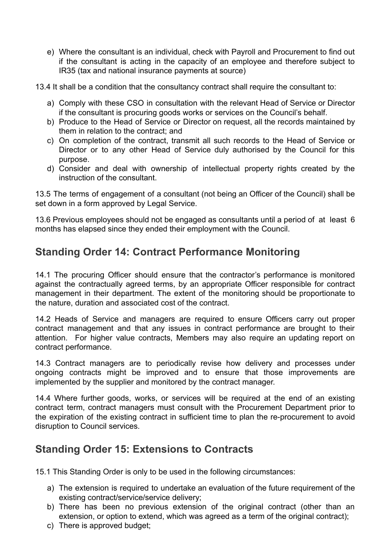e) Where the consultant is an individual, check with Payroll and Procurement to find out if the consultant is acting in the capacity of an employee and therefore subject to IR35 (tax and national insurance payments at source)

13.4 It shall be a condition that the consultancy contract shall require the consultant to:

- a) Comply with these CSO in consultation with the relevant Head of Service or Director if the consultant is procuring goods works or services on the Council's behalf.
- b) Produce to the Head of Service or Director on request, all the records maintained by them in relation to the contract; and
- c) On completion of the contract, transmit all such records to the Head of Service or Director or to any other Head of Service duly authorised by the Council for this purpose.
- d) Consider and deal with ownership of intellectual property rights created by the instruction of the consultant.

13.5 The terms of engagement of a consultant (not being an Officer of the Council) shall be set down in a form approved by Legal Service.

13.6 Previous employees should not be engaged as consultants until a period of at least 6 months has elapsed since they ended their employment with the Council.

# <span id="page-26-0"></span>**Standing Order 14: Contract Performance Monitoring**

14.1 The procuring Officer should ensure that the contractor's performance is monitored against the contractually agreed terms, by an appropriate Officer responsible for contract management in their department. The extent of the monitoring should be proportionate to the nature, duration and associated cost of the contract.

14.2 Heads of Service and managers are required to ensure Officers carry out proper contract management and that any issues in contract performance are brought to their attention. For higher value contracts, Members may also require an updating report on contract performance.

14.3 Contract managers are to periodically revise how delivery and processes under ongoing contracts might be improved and to ensure that those improvements are implemented by the supplier and monitored by the contract manager.

14.4 Where further goods, works, or services will be required at the end of an existing contract term, contract managers must consult with the Procurement Department prior to the expiration of the existing contract in sufficient time to plan the re-procurement to avoid disruption to Council services.

# <span id="page-26-1"></span>**Standing Order 15: Extensions to Contracts**

15.1 This Standing Order is only to be used in the following circumstances:

- a) The extension is required to undertake an evaluation of the future requirement of the existing contract/service/service delivery;
- b) There has been no previous extension of the original contract (other than an extension, or option to extend, which was agreed as a term of the original contract);
- c) There is approved budget;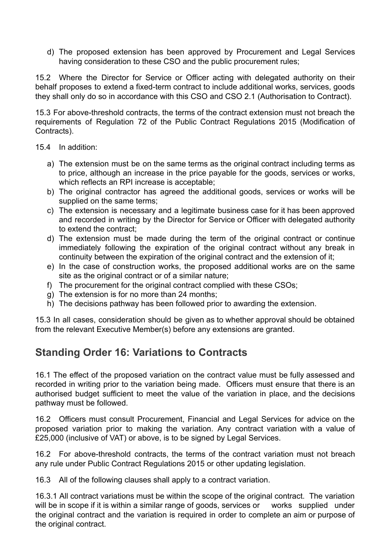d) The proposed extension has been approved by Procurement and Legal Services having consideration to these CSO and the public procurement rules;

15.2 Where the Director for Service or Officer acting with delegated authority on their behalf proposes to extend a fixed-term contract to include additional works, services, goods they shall only do so in accordance with this CSO and CSO 2.1 (Authorisation to Contract).

15.3 For above-threshold contracts, the terms of the contract extension must not breach the requirements of Regulation 72 of the Public Contract Regulations 2015 (Modification of Contracts).

- 15.4 In addition:
	- a) The extension must be on the same terms as the original contract including terms as to price, although an increase in the price payable for the goods, services or works, which reflects an RPI increase is acceptable;
	- b) The original contractor has agreed the additional goods, services or works will be supplied on the same terms;
	- c) The extension is necessary and a legitimate business case for it has been approved and recorded in writing by the Director for Service or Officer with delegated authority to extend the contract;
	- d) The extension must be made during the term of the original contract or continue immediately following the expiration of the original contract without any break in continuity between the expiration of the original contract and the extension of it;
	- e) In the case of construction works, the proposed additional works are on the same site as the original contract or of a similar nature;
	- f) The procurement for the original contract complied with these CSOs;
	- g) The extension is for no more than 24 months;
	- h) The decisions pathway has been followed prior to awarding the extension.

15.3 In all cases, consideration should be given as to whether approval should be obtained from the relevant Executive Member(s) before any extensions are granted.

# <span id="page-27-0"></span>**Standing Order 16: Variations to Contracts**

16.1 The effect of the proposed variation on the contract value must be fully assessed and recorded in writing prior to the variation being made. Officers must ensure that there is an authorised budget sufficient to meet the value of the variation in place, and the decisions pathway must be followed.

16.2 Officers must consult Procurement, Financial and Legal Services for advice on the proposed variation prior to making the variation. Any contract variation with a value of £25,000 (inclusive of VAT) or above, is to be signed by Legal Services.

16.2 For above-threshold contracts, the terms of the contract variation must not breach any rule under Public Contract Regulations 2015 or other updating legislation.

16.3 All of the following clauses shall apply to a contract variation.

16.3.1 All contract variations must be within the scope of the original contract. The variation will be in scope if it is within a similar range of goods, services or works supplied under the original contract and the variation is required in order to complete an aim or purpose of the original contract.